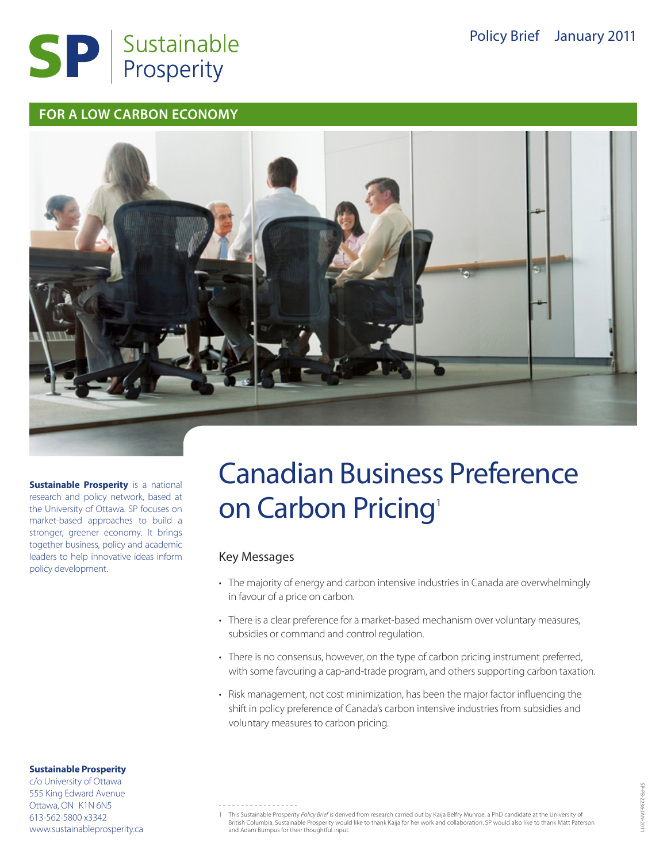

#### **FOR A LOW CARBON ECONOMY**



**Sustainable Prosperity** is a national research and policy network, based at the University of Ottawa. SP focuses on market-based approaches to build a stronger, greener economy. It brings together business, policy and academic leaders to help innovative ideas inform policy development.

# Canadian Business Preference on Carbon Pricing<sup>1</sup>

#### Key Messages

- The majority of energy and carbon intensive industries in Canada are overwhelmingly in favour of a price on carbon.
- There is a clear preference for a market-based mechanism over voluntary measures, subsidies or command and control regulation.
- There is no consensus, however, on the type of carbon pricing instrument preferred, with some favouring a cap-and-trade program, and others supporting carbon taxation.
- Risk management, not cost minimization, has been the major factor influencing the shift in policy preference of Canada's carbon intensive industries from subsidies and voluntary measures to carbon pricing.

**Sustainable Prosperity**

c/o University of Ottawa 555 King Edward Avenue Ottawa, ON K1N 6N5 613-562-5800 x3342 www.sustainableprosperity.ca

1 This Sustainable Prosperity *Policy Brief* is derived from research carried out by Kaija Belfry Munroe, a PhD candidate at the University of<br>British Columbia. Sustainable Prosperity would like to thank Kaija for her work and Adam Bumpus for their thoughtful input.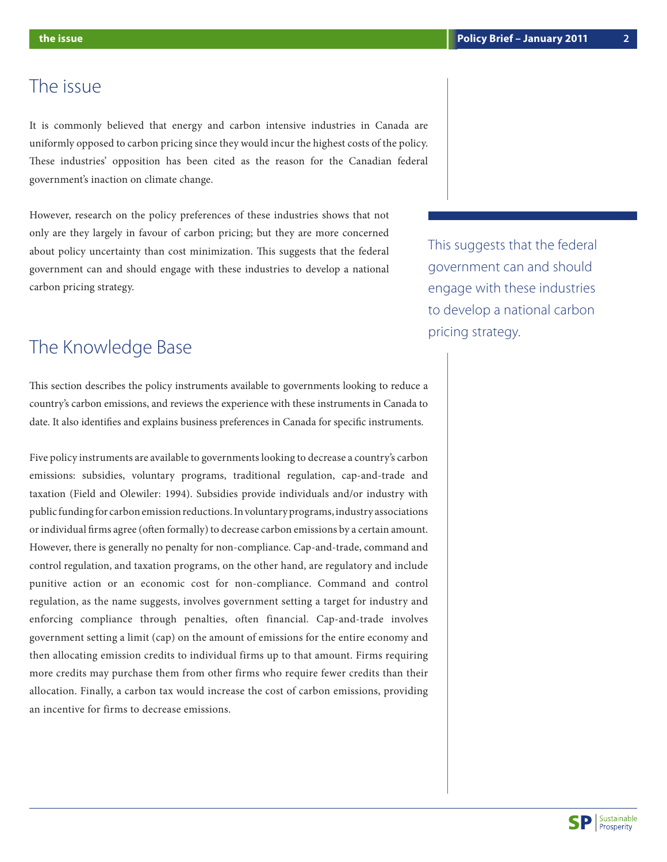### The issue

It is commonly believed that energy and carbon intensive industries in Canada are uniformly opposed to carbon pricing since they would incur the highest costs of the policy. These industries' opposition has been cited as the reason for the Canadian federal government's inaction on climate change.

However, research on the policy preferences of these industries shows that not only are they largely in favour of carbon pricing; but they are more concerned about policy uncertainty than cost minimization. This suggests that the federal government can and should engage with these industries to develop a national carbon pricing strategy.

This suggests that the federal government can and should engage with these industries to develop a national carbon pricing strategy.

### The Knowledge Base

This section describes the policy instruments available to governments looking to reduce a country's carbon emissions, and reviews the experience with these instruments in Canada to date. It also identifies and explains business preferences in Canada for specific instruments.

Five policy instruments are available to governments looking to decrease a country's carbon emissions: subsidies, voluntary programs, traditional regulation, cap-and-trade and taxation (Field and Olewiler: 1994). Subsidies provide individuals and/or industry with public funding for carbon emission reductions. In voluntary programs, industry associations or individual firms agree (often formally) to decrease carbon emissions by a certain amount. However, there is generally no penalty for non-compliance. Cap-and-trade, command and control regulation, and taxation programs, on the other hand, are regulatory and include punitive action or an economic cost for non-compliance. Command and control regulation, as the name suggests, involves government setting a target for industry and enforcing compliance through penalties, often financial. Cap-and-trade involves government setting a limit (cap) on the amount of emissions for the entire economy and then allocating emission credits to individual firms up to that amount. Firms requiring more credits may purchase them from other firms who require fewer credits than their allocation. Finally, a carbon tax would increase the cost of carbon emissions, providing an incentive for firms to decrease emissions.

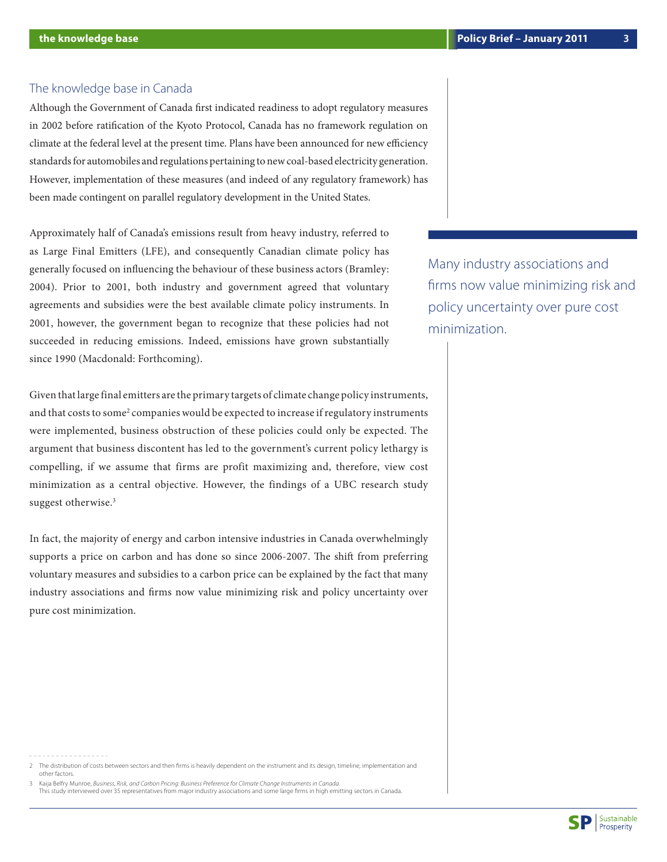#### The knowledge base in Canada

Although the Government of Canada first indicated readiness to adopt regulatory measures in 2002 before ratification of the Kyoto Protocol, Canada has no framework regulation on climate at the federal level at the present time. Plans have been announced for new efficiency standards for automobiles and regulations pertaining to new coal-based electricity generation. However, implementation of these measures (and indeed of any regulatory framework) has been made contingent on parallel regulatory development in the United States.

Approximately half of Canada's emissions result from heavy industry, referred to as Large Final Emitters (LFE), and consequently Canadian climate policy has generally focused on influencing the behaviour of these business actors (Bramley: 2004). Prior to 2001, both industry and government agreed that voluntary agreements and subsidies were the best available climate policy instruments. In 2001, however, the government began to recognize that these policies had not succeeded in reducing emissions. Indeed, emissions have grown substantially since 1990 (Macdonald: Forthcoming).

Given that large final emitters are the primary targets of climate change policy instruments, and that costs to some<sup>2</sup> companies would be expected to increase if regulatory instruments were implemented, business obstruction of these policies could only be expected. The argument that business discontent has led to the government's current policy lethargy is compelling, if we assume that firms are profit maximizing and, therefore, view cost minimization as a central objective. However, the findings of a UBC research study suggest otherwise.<sup>3</sup>

In fact, the majority of energy and carbon intensive industries in Canada overwhelmingly supports a price on carbon and has done so since 2006-2007. The shift from preferring voluntary measures and subsidies to a carbon price can be explained by the fact that many industry associations and firms now value minimizing risk and policy uncertainty over pure cost minimization.

3 Kaija Belfry Munroe, *Business, Risk, and Carbon Pricing: Business Preference for Climate Change Instruments in Canada.* This study interviewed over 35 representatives from major industry associations and some large firms in high emitting sectors in Canada.

Many industry associations and firms now value minimizing risk and policy uncertainty over pure cost minimization.



<sup>2</sup> The distribution of costs between sectors and then firms is heavily dependent on the instrument and its design, timeline, implementation and other factors.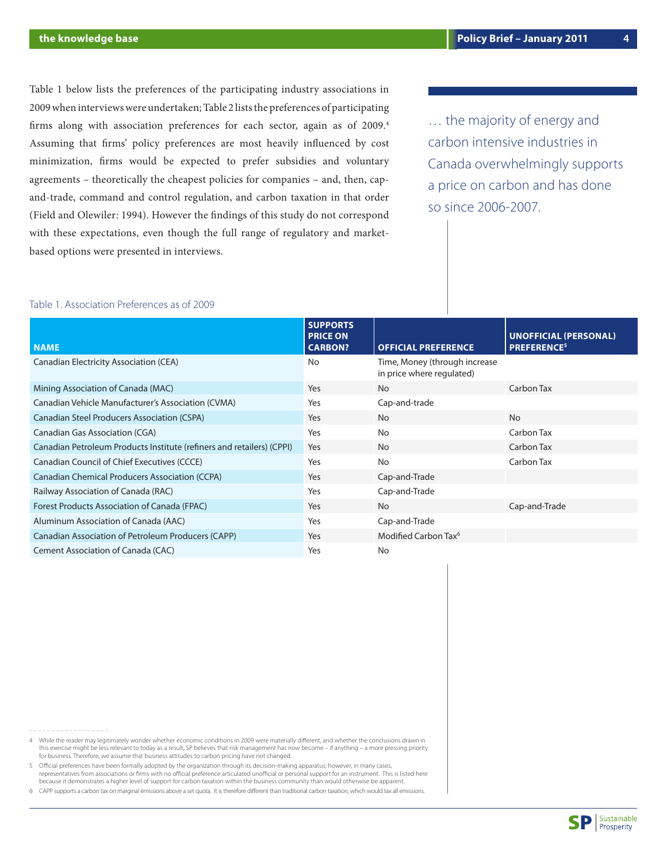Table 1 below lists the preferences of the participating industry associations in 2009 when interviews were undertaken; Table 2 lists the preferences of participating firms along with association preferences for each sector, again as of 2009.<sup>4</sup> Assuming that firms' policy preferences are most heavily influenced by cost minimization, firms would be expected to prefer subsidies and voluntary agreements – theoretically the cheapest policies for companies – and, then, capand-trade, command and control regulation, and carbon taxation in that order (Field and Olewiler: 1994). However the findings of this study do not correspond with these expectations, even though the full range of regulatory and marketbased options were presented in interviews.

… the majority of energy and carbon intensive industries in Canada overwhelmingly supports a price on carbon and has done so since 2006-2007.

#### Table 1. Association Preferences as of 2009

| <b>NAME</b>                                                           | <b>SUPPORTS</b><br><b>PRICE ON</b><br><b>CARBON?</b> | <b>OFFICIAL PREFERENCE</b>                                 | <b>UNOFFICIAL (PERSONAL)</b><br><b>PREFERENCE<sup>5</sup></b> |
|-----------------------------------------------------------------------|------------------------------------------------------|------------------------------------------------------------|---------------------------------------------------------------|
| Canadian Electricity Association (CEA)                                | <b>No</b>                                            | Time, Money (through increase<br>in price where regulated) |                                                               |
| Mining Association of Canada (MAC)                                    | Yes                                                  | <b>No</b>                                                  | Carbon Tax                                                    |
| Canadian Vehicle Manufacturer's Association (CVMA)                    | Yes                                                  | Cap-and-trade                                              |                                                               |
| <b>Canadian Steel Producers Association (CSPA)</b>                    | Yes                                                  | <b>No</b>                                                  | <b>No</b>                                                     |
| <b>Canadian Gas Association (CGA)</b>                                 | Yes                                                  | <b>No</b>                                                  | Carbon Tax                                                    |
| Canadian Petroleum Products Institute (refiners and retailers) (CPPI) | Yes                                                  | <b>No</b>                                                  | Carbon Tax                                                    |
| Canadian Council of Chief Executives (CCCE)                           | Yes                                                  | <b>No</b>                                                  | Carbon Tax                                                    |
| <b>Canadian Chemical Producers Association (CCPA)</b>                 | Yes                                                  | Cap-and-Trade                                              |                                                               |
| Railway Association of Canada (RAC)                                   | Yes                                                  | Cap-and-Trade                                              |                                                               |
| Forest Products Association of Canada (FPAC)                          | Yes                                                  | <b>No</b>                                                  | Cap-and-Trade                                                 |
| Aluminum Association of Canada (AAC)                                  | Yes                                                  | Cap-and-Trade                                              |                                                               |
| Canadian Association of Petroleum Producers (CAPP)                    | Yes                                                  | Modified Carbon Tax <sup>6</sup>                           |                                                               |
| Cement Association of Canada (CAC)                                    | Yes                                                  | <b>No</b>                                                  |                                                               |

- 4 While the reader may legitimately wonder whether economic conditions in 2009 were materially different, and whether the conclusions drawn in this exercise might be less relevant to today as a result, SP believes that risk management has now become – if anything – a more pressing priority for business. Therefore, we assume that business attitudes to carbon pricing have not changed.
- 5 Official preferences have been formally adopted by the organization through its decision-making apparatus; however, in many cases,<br>representatives from associations or firms with no official preference articulated unoffi because it demonstrates a higher level of support for carbon taxation within the business community than would otherwise be apparent.
- 6 CAPP supports a carbon tax on marginal emissions above a set quota. It is therefore different than traditional carbon taxation, which would tax all emissions.

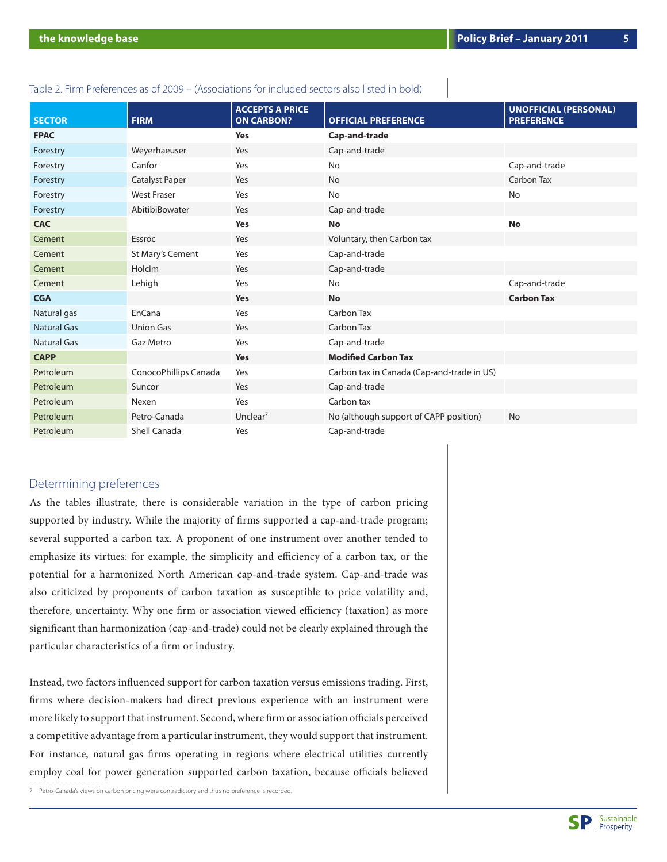#### Table 2. Firm Preferences as of 2009 – (Associations for included sectors also listed in bold)

| <b>SECTOR</b>      | <b>FIRM</b>           | <b>ACCEPTS A PRICE</b><br><b>ON CARBON?</b> | <b>OFFICIAL PREFERENCE</b>                 | <b>UNOFFICIAL (PERSONAL)</b><br><b>PREFERENCE</b> |
|--------------------|-----------------------|---------------------------------------------|--------------------------------------------|---------------------------------------------------|
| <b>FPAC</b>        |                       | <b>Yes</b>                                  | Cap-and-trade                              |                                                   |
| Forestry           | Weyerhaeuser          | Yes                                         | Cap-and-trade                              |                                                   |
| Forestry           | Canfor                | Yes                                         | No                                         | Cap-and-trade                                     |
| Forestry           | <b>Catalyst Paper</b> | Yes                                         | <b>No</b>                                  | Carbon Tax                                        |
| Forestry           | <b>West Fraser</b>    | Yes                                         | <b>No</b>                                  | No                                                |
| Forestry           | AbitibiBowater        | Yes                                         | Cap-and-trade                              |                                                   |
| <b>CAC</b>         |                       | <b>Yes</b>                                  | <b>No</b>                                  | No                                                |
| Cement             | Essroc                | Yes                                         | Voluntary, then Carbon tax                 |                                                   |
| Cement             | St Mary's Cement      | Yes                                         | Cap-and-trade                              |                                                   |
| Cement             | Holcim                | Yes                                         | Cap-and-trade                              |                                                   |
| Cement             | Lehigh                | Yes                                         | <b>No</b>                                  | Cap-and-trade                                     |
| <b>CGA</b>         |                       | <b>Yes</b>                                  | <b>No</b>                                  | <b>Carbon Tax</b>                                 |
| Natural gas        | EnCana                | Yes                                         | Carbon Tax                                 |                                                   |
| <b>Natural Gas</b> | <b>Union Gas</b>      | Yes                                         | Carbon Tax                                 |                                                   |
| <b>Natural Gas</b> | Gaz Metro             | Yes                                         | Cap-and-trade                              |                                                   |
| <b>CAPP</b>        |                       | <b>Yes</b>                                  | <b>Modified Carbon Tax</b>                 |                                                   |
| Petroleum          | ConocoPhillips Canada | Yes                                         | Carbon tax in Canada (Cap-and-trade in US) |                                                   |
| Petroleum          | Suncor                | Yes                                         | Cap-and-trade                              |                                                   |
| Petroleum          | Nexen                 | Yes                                         | Carbon tax                                 |                                                   |
| Petroleum          | Petro-Canada          | Unclear <sup>7</sup>                        | No (although support of CAPP position)     | <b>No</b>                                         |
| Petroleum          | Shell Canada          | Yes                                         | Cap-and-trade                              |                                                   |

#### Determining preferences

As the tables illustrate, there is considerable variation in the type of carbon pricing supported by industry. While the majority of firms supported a cap-and-trade program; several supported a carbon tax. A proponent of one instrument over another tended to emphasize its virtues: for example, the simplicity and efficiency of a carbon tax, or the potential for a harmonized North American cap-and-trade system. Cap-and-trade was also criticized by proponents of carbon taxation as susceptible to price volatility and, therefore, uncertainty. Why one firm or association viewed efficiency (taxation) as more significant than harmonization (cap-and-trade) could not be clearly explained through the particular characteristics of a firm or industry.

Instead, two factors influenced support for carbon taxation versus emissions trading. First, firms where decision-makers had direct previous experience with an instrument were more likely to support that instrument. Second, where firm or association officials perceived a competitive advantage from a particular instrument, they would support that instrument. For instance, natural gas firms operating in regions where electrical utilities currently employ coal for power generation supported carbon taxation, because officials believed

7 Petro-Canada's views on carbon pricing were contradictory and thus no preference is recorded.

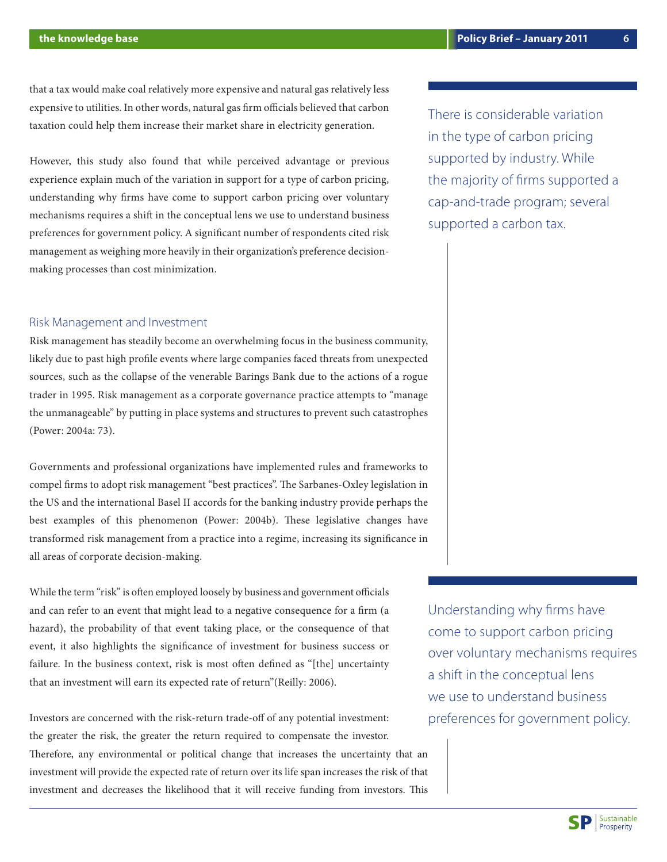that a tax would make coal relatively more expensive and natural gas relatively less expensive to utilities. In other words, natural gas firm officials believed that carbon taxation could help them increase their market share in electricity generation.

However, this study also found that while perceived advantage or previous experience explain much of the variation in support for a type of carbon pricing, understanding why firms have come to support carbon pricing over voluntary mechanisms requires a shift in the conceptual lens we use to understand business preferences for government policy. A significant number of respondents cited risk management as weighing more heavily in their organization's preference decisionmaking processes than cost minimization.

#### Risk Management and Investment

Risk management has steadily become an overwhelming focus in the business community, likely due to past high profile events where large companies faced threats from unexpected sources, such as the collapse of the venerable Barings Bank due to the actions of a rogue trader in 1995. Risk management as a corporate governance practice attempts to "manage the unmanageable" by putting in place systems and structures to prevent such catastrophes (Power: 2004a: 73).

Governments and professional organizations have implemented rules and frameworks to compel firms to adopt risk management "best practices". The Sarbanes-Oxley legislation in the US and the international Basel II accords for the banking industry provide perhaps the best examples of this phenomenon (Power: 2004b). These legislative changes have transformed risk management from a practice into a regime, increasing its significance in all areas of corporate decision-making.

While the term "risk" is often employed loosely by business and government officials and can refer to an event that might lead to a negative consequence for a firm (a hazard), the probability of that event taking place, or the consequence of that event, it also highlights the significance of investment for business success or failure. In the business context, risk is most often defined as "[the] uncertainty that an investment will earn its expected rate of return"(Reilly: 2006).

Investors are concerned with the risk-return trade-off of any potential investment: the greater the risk, the greater the return required to compensate the investor. Therefore, any environmental or political change that increases the uncertainty that an investment will provide the expected rate of return over its life span increases the risk of that investment and decreases the likelihood that it will receive funding from investors. This

There is considerable variation in the type of carbon pricing supported by industry. While the majority of firms supported a cap-and-trade program; several supported a carbon tax.

Understanding why firms have come to support carbon pricing over voluntary mechanisms requires a shift in the conceptual lens we use to understand business preferences for government policy.

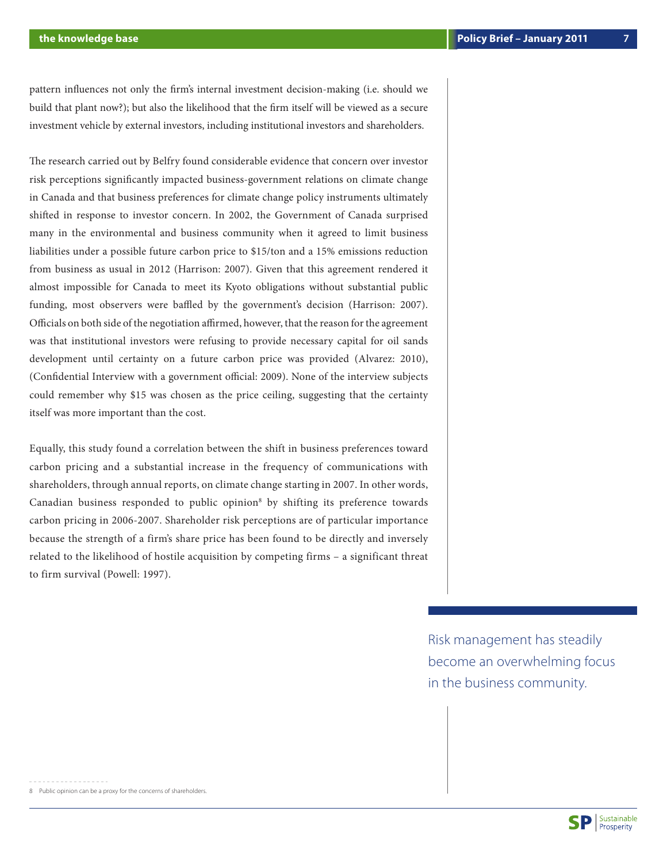pattern influences not only the firm's internal investment decision-making (i.e. should we build that plant now?); but also the likelihood that the firm itself will be viewed as a secure investment vehicle by external investors, including institutional investors and shareholders.

The research carried out by Belfry found considerable evidence that concern over investor risk perceptions significantly impacted business-government relations on climate change in Canada and that business preferences for climate change policy instruments ultimately shifted in response to investor concern. In 2002, the Government of Canada surprised many in the environmental and business community when it agreed to limit business liabilities under a possible future carbon price to \$15/ton and a 15% emissions reduction from business as usual in 2012 (Harrison: 2007). Given that this agreement rendered it almost impossible for Canada to meet its Kyoto obligations without substantial public funding, most observers were baffled by the government's decision (Harrison: 2007). Officials on both side of the negotiation affirmed, however, that the reason for the agreement was that institutional investors were refusing to provide necessary capital for oil sands development until certainty on a future carbon price was provided (Alvarez: 2010), (Confidential Interview with a government official: 2009). None of the interview subjects could remember why \$15 was chosen as the price ceiling, suggesting that the certainty itself was more important than the cost.

Equally, this study found a correlation between the shift in business preferences toward carbon pricing and a substantial increase in the frequency of communications with shareholders, through annual reports, on climate change starting in 2007. In other words, Canadian business responded to public opinion<sup>8</sup> by shifting its preference towards carbon pricing in 2006-2007. Shareholder risk perceptions are of particular importance because the strength of a firm's share price has been found to be directly and inversely related to the likelihood of hostile acquisition by competing firms – a significant threat to firm survival (Powell: 1997).

> Risk management has steadily become an overwhelming focus in the business community.

8 Public opinion can be a proxy for the concerns of shareholders.

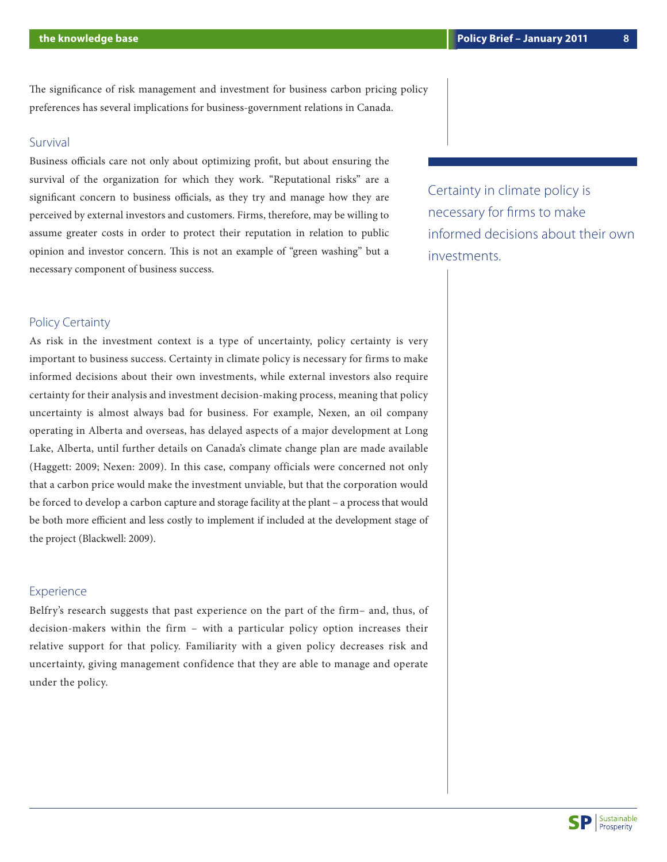The significance of risk management and investment for business carbon pricing policy preferences has several implications for business-government relations in Canada.

#### Survival

Business officials care not only about optimizing profit, but about ensuring the survival of the organization for which they work. "Reputational risks" are a significant concern to business officials, as they try and manage how they are perceived by external investors and customers. Firms, therefore, may be willing to assume greater costs in order to protect their reputation in relation to public opinion and investor concern. This is not an example of "green washing" but a necessary component of business success.

Certainty in climate policy is necessary for firms to make informed decisions about their own investments.

#### Policy Certainty

As risk in the investment context is a type of uncertainty, policy certainty is very important to business success. Certainty in climate policy is necessary for firms to make informed decisions about their own investments, while external investors also require certainty for their analysis and investment decision-making process, meaning that policy uncertainty is almost always bad for business. For example, Nexen, an oil company operating in Alberta and overseas, has delayed aspects of a major development at Long Lake, Alberta, until further details on Canada's climate change plan are made available (Haggett: 2009; Nexen: 2009). In this case, company officials were concerned not only that a carbon price would make the investment unviable, but that the corporation would be forced to develop a carbon capture and storage facility at the plant – a process that would be both more efficient and less costly to implement if included at the development stage of the project (Blackwell: 2009).

#### Experience

Belfry's research suggests that past experience on the part of the firm– and, thus, of decision-makers within the firm – with a particular policy option increases their relative support for that policy. Familiarity with a given policy decreases risk and uncertainty, giving management confidence that they are able to manage and operate under the policy.

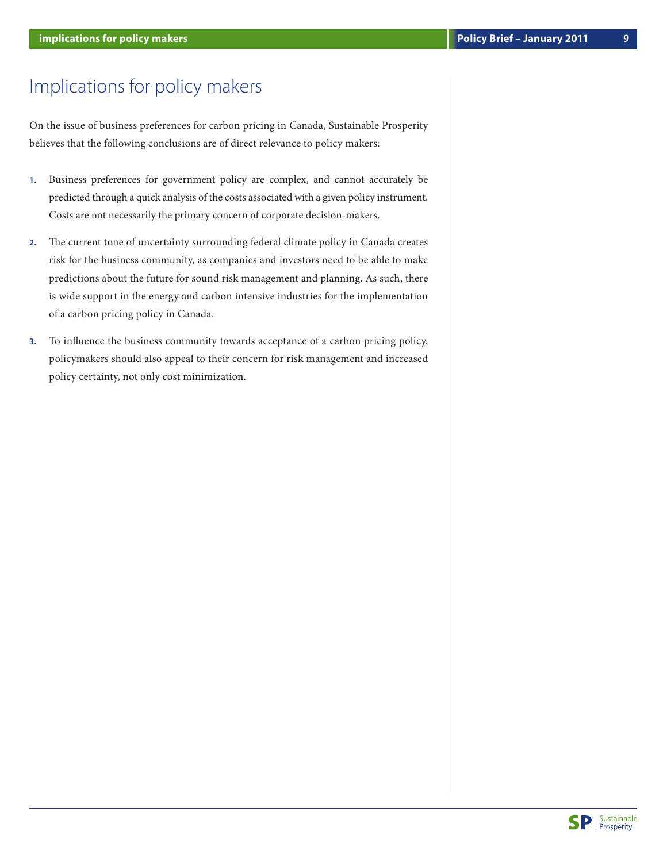## Implications for policy makers

On the issue of business preferences for carbon pricing in Canada, Sustainable Prosperity believes that the following conclusions are of direct relevance to policy makers:

- **1.** Business preferences for government policy are complex, and cannot accurately be predicted through a quick analysis of the costs associated with a given policy instrument. Costs are not necessarily the primary concern of corporate decision-makers.
- **2.** The current tone of uncertainty surrounding federal climate policy in Canada creates risk for the business community, as companies and investors need to be able to make predictions about the future for sound risk management and planning. As such, there is wide support in the energy and carbon intensive industries for the implementation of a carbon pricing policy in Canada.
- **3.** To influence the business community towards acceptance of a carbon pricing policy, policymakers should also appeal to their concern for risk management and increased policy certainty, not only cost minimization.